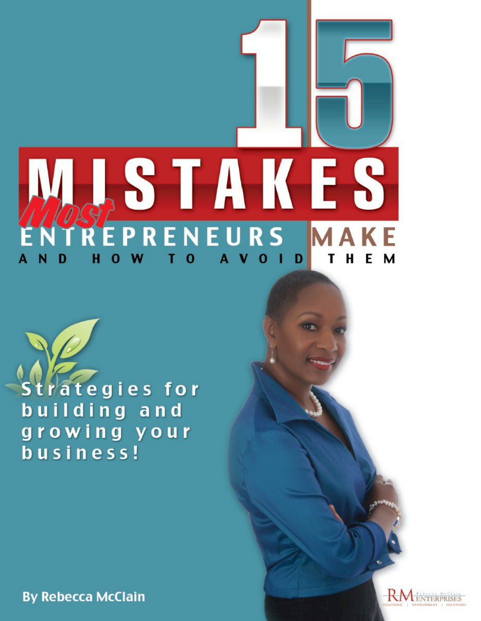

rategies for building and growing your business!

**By Rebecca McClain** 

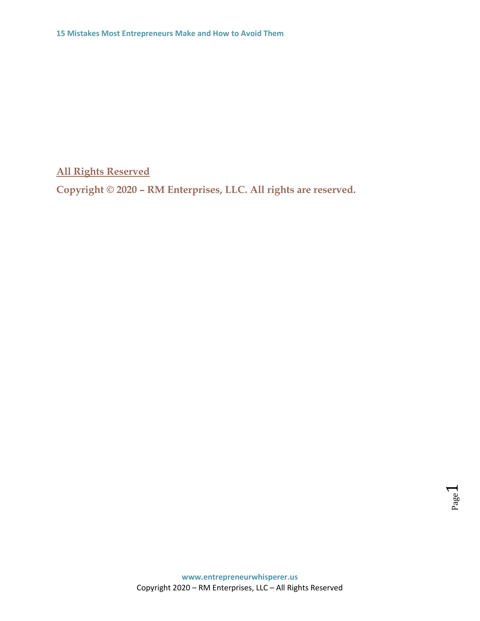**All Rights Reserved**

**Copyright © 2020 – RM Enterprises, LLC. All rights are reserved.**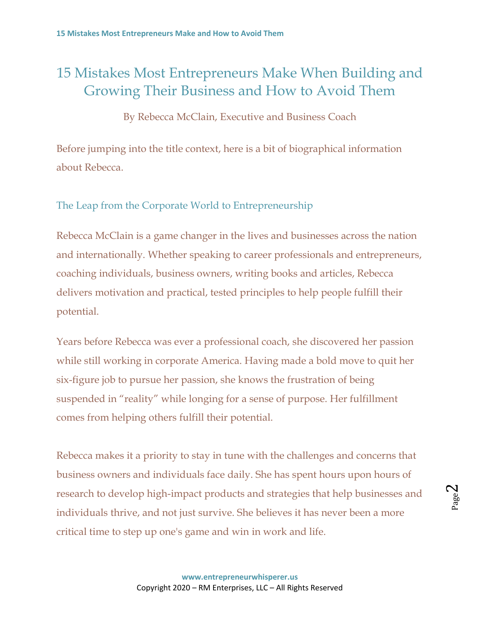# 15 Mistakes Most Entrepreneurs Make When Building and Growing Their Business and How to Avoid Them

By Rebecca McClain, Executive and Business Coach

Before jumping into the title context, here is a bit of biographical information about Rebecca.

The Leap from the Corporate World to Entrepreneurship

Rebecca McClain is a game changer in the lives and businesses across the nation and internationally. Whether speaking to career professionals and entrepreneurs, coaching individuals, business owners, writing books and articles, Rebecca delivers motivation and practical, tested principles to help people fulfill their potential.

Years before Rebecca was ever a professional coach, she discovered her passion while still working in corporate America. Having made a bold move to quit her six-figure job to pursue her passion, she knows the frustration of being suspended in "reality" while longing for a sense of purpose. Her fulfillment comes from helping others fulfill their potential.

Rebecca makes it a priority to stay in tune with the challenges and concerns that business owners and individuals face daily. She has spent hours upon hours of research to develop high-impact products and strategies that help businesses and individuals thrive, and not just survive. She believes it has never been a more critical time to step up one's game and win in work and life.

Page  $\boldsymbol{\sim}$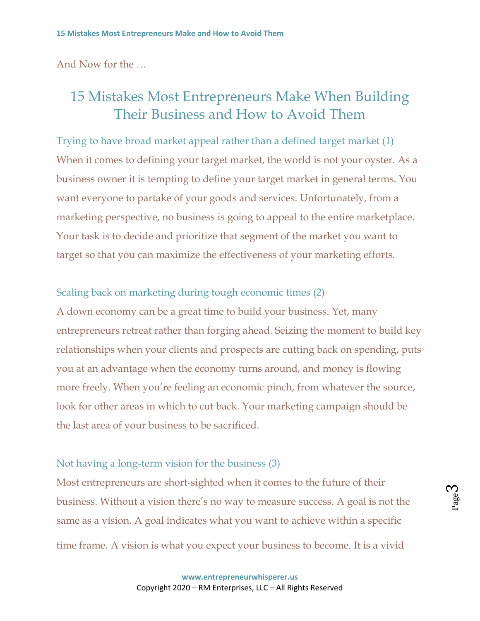And Now for the …

# 15 Mistakes Most Entrepreneurs Make When Building Their Business and How to Avoid Them

Trying to have broad market appeal rather than a defined target market (1) When it comes to defining your target market, the world is not your oyster. As a business owner it is tempting to define your target market in general terms. You want everyone to partake of your goods and services. Unfortunately, from a marketing perspective, no business is going to appeal to the entire marketplace. Your task is to decide and prioritize that segment of the market you want to target so that you can maximize the effectiveness of your marketing efforts.

Scaling back on marketing during tough economic times (2) A down economy can be a great time to build your business. Yet, many entrepreneurs retreat rather than forging ahead. Seizing the moment to build key relationships when your clients and prospects are cutting back on spending, puts you at an advantage when the economy turns around, and money is flowing more freely. When you're feeling an economic pinch, from whatever the source, look for other areas in which to cut back. Your marketing campaign should be the last area of your business to be sacrificed.

## Not having a long-term vision for the business (3)

Most entrepreneurs are short-sighted when it comes to the future of their business. Without a vision there's no way to measure success. A goal is not the same as a vision. A goal indicates what you want to achieve within a specific time frame. A vision is what you expect your business to become. It is a vivid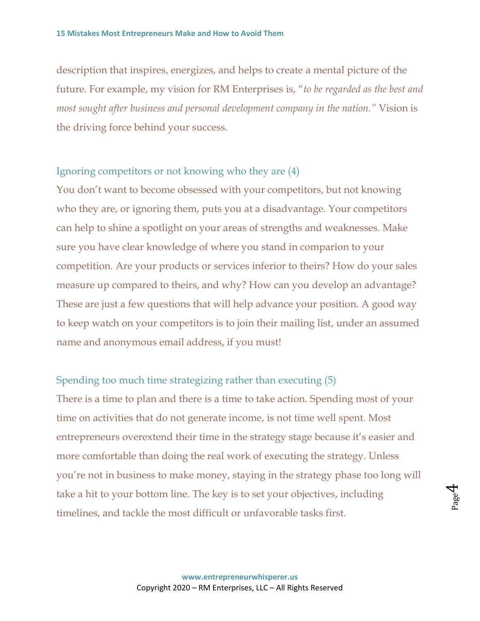description that inspires, energizes, and helps to create a mental picture of the future. For example, my vision for RM Enterprises is, "*to be regarded as the best and most sought after business and personal development company in the nation."* Vision is the driving force behind your success.

Ignoring competitors or not knowing who they are (4)

You don't want to become obsessed with your competitors, but not knowing who they are, or ignoring them, puts you at a disadvantage. Your competitors can help to shine a spotlight on your areas of strengths and weaknesses. Make sure you have clear knowledge of where you stand in comparion to your competition. Are your products or services inferior to theirs? How do your sales measure up compared to theirs, and why? How can you develop an advantage? These are just a few questions that will help advance your position. A good way to keep watch on your competitors is to join their mailing list, under an assumed name and anonymous email address, if you must!

Spending too much time strategizing rather than executing (5) There is a time to plan and there is a time to take action. Spending most of your time on activities that do not generate income, is not time well spent. Most entrepreneurs overextend their time in the strategy stage because it's easier and more comfortable than doing the real work of executing the strategy. Unless you're not in business to make money, staying in the strategy phase too long will take a hit to your bottom line. The key is to set your objectives, including timelines, and tackle the most difficult or unfavorable tasks first.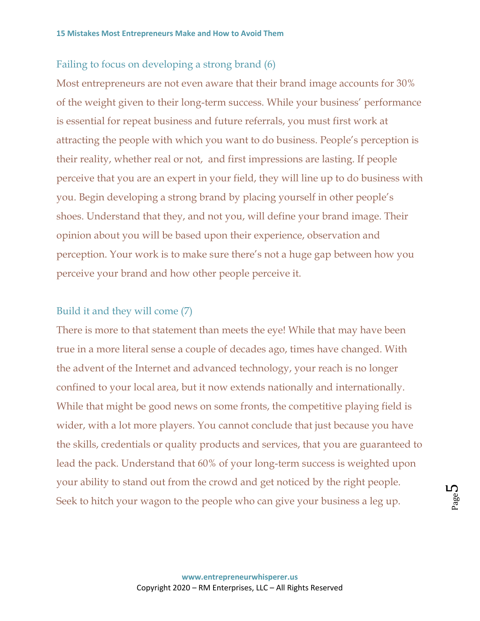### Failing to focus on developing a strong brand (6)

Most entrepreneurs are not even aware that their brand image accounts for 30% of the weight given to their long-term success. While your business' performance is essential for repeat business and future referrals, you must first work at attracting the people with which you want to do business. People's perception is their reality, whether real or not, and first impressions are lasting. If people perceive that you are an expert in your field, they will line up to do business with you. Begin developing a strong brand by placing yourself in other people's shoes. Understand that they, and not you, will define your brand image. Their opinion about you will be based upon their experience, observation and perception. Your work is to make sure there's not a huge gap between how you perceive your brand and how other people perceive it.

#### Build it and they will come (7)

There is more to that statement than meets the eye! While that may have been true in a more literal sense a couple of decades ago, times have changed. With the advent of the Internet and advanced technology, your reach is no longer confined to your local area, but it now extends nationally and internationally. While that might be good news on some fronts, the competitive playing field is wider, with a lot more players. You cannot conclude that just because you have the skills, credentials or quality products and services, that you are guaranteed to lead the pack. Understand that 60% of your long-term success is weighted upon your ability to stand out from the crowd and get noticed by the right people. Seek to hitch your wagon to the people who can give your business a leg up.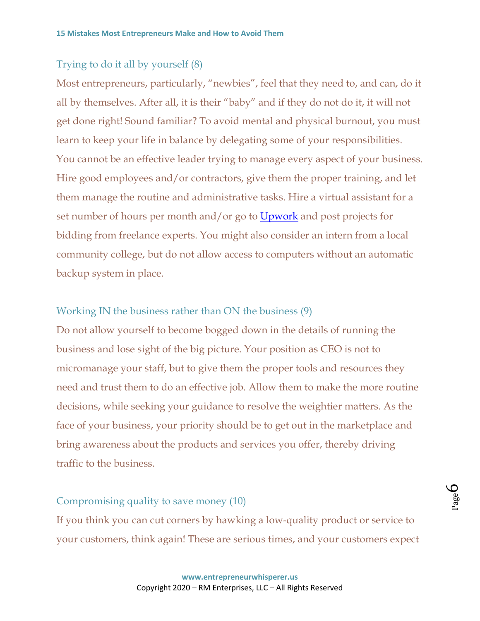## Trying to do it all by yourself (8)

Most entrepreneurs, particularly, "newbies", feel that they need to, and can, do it all by themselves. After all, it is their "baby" and if they do not do it, it will not get done right! Sound familiar? To avoid mental and physical burnout, you must learn to keep your life in balance by delegating some of your responsibilities. You cannot be an effective leader trying to manage every aspect of your business. Hire good employees and/or contractors, give them the proper training, and let them manage the routine and administrative tasks. Hire a virtual assistant for a set number of hours per month and/or go to [Upwork](http://www.upwork.com/) and post projects for bidding from freelance experts. You might also consider an intern from a local community college, but do not allow access to computers without an automatic backup system in place.

#### Working IN the business rather than ON the business (9)

Do not allow yourself to become bogged down in the details of running the business and lose sight of the big picture. Your position as CEO is not to micromanage your staff, but to give them the proper tools and resources they need and trust them to do an effective job. Allow them to make the more routine decisions, while seeking your guidance to resolve the weightier matters. As the face of your business, your priority should be to get out in the marketplace and bring awareness about the products and services you offer, thereby driving traffic to the business.

## Compromising quality to save money (10)

If you think you can cut corners by hawking a low-quality product or service to your customers, think again! These are serious times, and your customers expect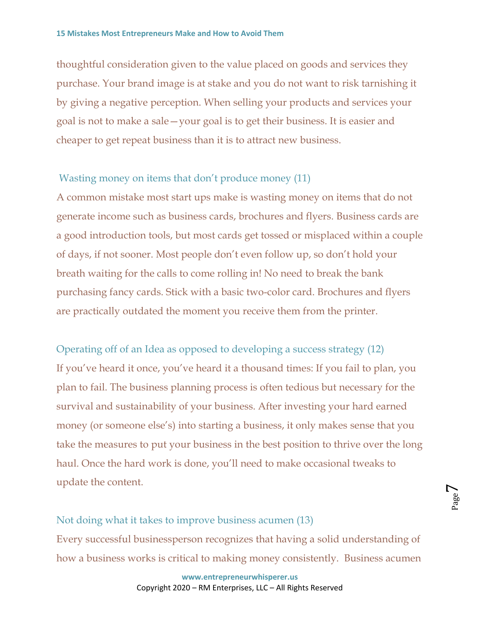thoughtful consideration given to the value placed on goods and services they purchase. Your brand image is at stake and you do not want to risk tarnishing it by giving a negative perception. When selling your products and services your goal is not to make a sale—your goal is to get their business. It is easier and cheaper to get repeat business than it is to attract new business.

### Wasting money on items that don't produce money (11)

A common mistake most start ups make is wasting money on items that do not generate income such as business cards, brochures and flyers. Business cards are a good introduction tools, but most cards get tossed or misplaced within a couple of days, if not sooner. Most people don't even follow up, so don't hold your breath waiting for the calls to come rolling in! No need to break the bank purchasing fancy cards. Stick with a basic two-color card. Brochures and flyers are practically outdated the moment you receive them from the printer.

Operating off of an Idea as opposed to developing a success strategy (12) If you've heard it once, you've heard it a thousand times: If you fail to plan, you plan to fail. The business planning process is often tedious but necessary for the survival and sustainability of your business. After investing your hard earned money (or someone else's) into starting a business, it only makes sense that you take the measures to put your business in the best position to thrive over the long haul. Once the hard work is done, you'll need to make occasional tweaks to update the content.

Not doing what it takes to improve business acumen (13) Every successful businessperson recognizes that having a solid understanding of how a business works is critical to making money consistently. Business acumen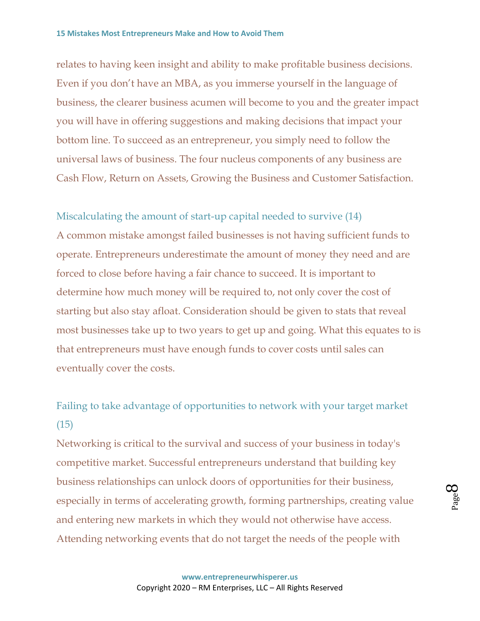relates to having keen insight and ability to make profitable business decisions. Even if you don't have an MBA, as you immerse yourself in the language of business, the clearer business acumen will become to you and the greater impact you will have in offering suggestions and making decisions that impact your bottom line. To succeed as an entrepreneur, you simply need to follow the universal laws of business. The four nucleus components of any business are Cash Flow, Return on Assets, Growing the Business and Customer Satisfaction.

Miscalculating the amount of start-up capital needed to survive (14) A common mistake amongst failed businesses is not having sufficient funds to operate. Entrepreneurs underestimate the amount of money they need and are forced to close before having a fair chance to succeed. It is important to determine how much money will be required to, not only cover the cost of starting but also stay afloat. Consideration should be given to stats that reveal most businesses take up to two years to get up and going. What this equates to is that entrepreneurs must have enough funds to cover costs until sales can eventually cover the costs.

Failing to take advantage of opportunities to network with your target market (15)

Networking is critical to the survival and success of your business in today's competitive market. Successful entrepreneurs understand that building key business relationships can unlock doors of opportunities for their business, especially in terms of accelerating growth, forming partnerships, creating value and entering new markets in which they would not otherwise have access. Attending networking events that do not target the needs of the people with